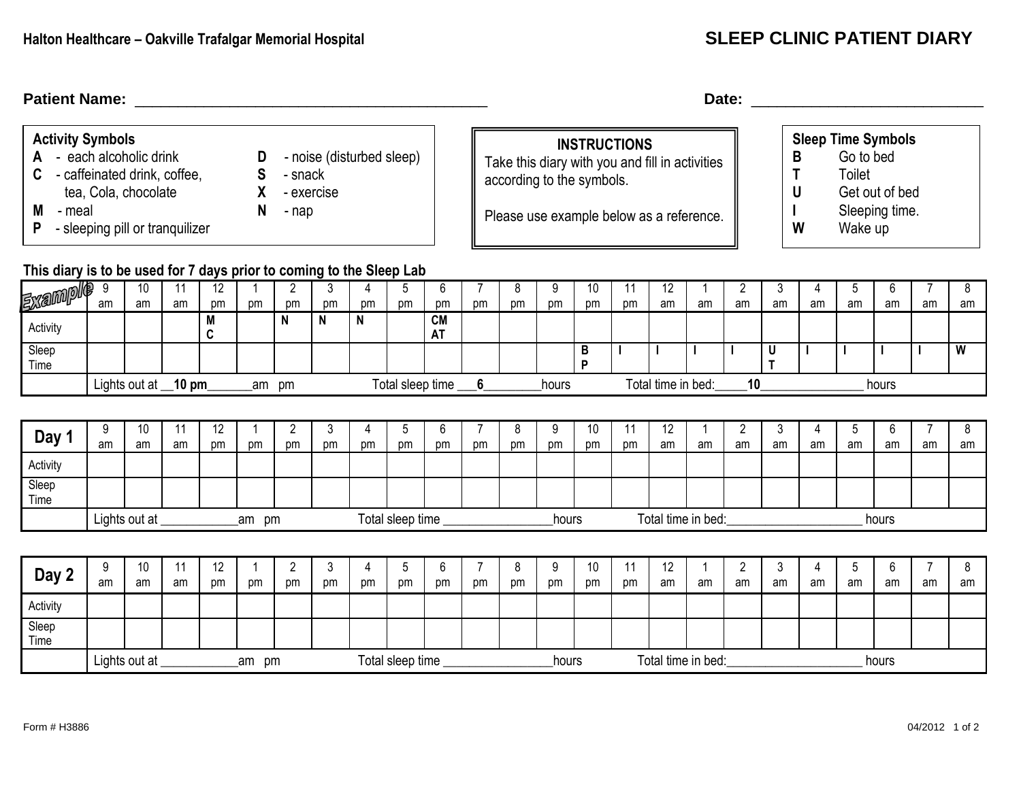| <b>Activity Symbols</b><br>- each alcoholic drink<br>D<br>- noise (disturbed sleep)<br>A<br>$\mathsf{s}$<br>- caffeinated drink, coffee,<br>- snack<br>X<br>tea, Cola, chocolate<br>- exercise<br>- meal<br>N<br>М<br>- nap<br>- sleeping pill or tranquilizer<br>P |                                                              |          |          |                  |                    |                      |              |         |                  |                             |                      | according to the symbols. | <b>INSTRUCTIONS</b><br>Take this diary with you and fill in activities<br>Please use example below as a reference. |                    |              |          |                    | B<br>T<br>U<br>W     | <b>Sleep Time Symbols</b><br>Go to bed<br>Toilet<br>Wake up | Get out of bed<br>Sleeping time. |         |              |                      |                         |  |  |  |
|---------------------------------------------------------------------------------------------------------------------------------------------------------------------------------------------------------------------------------------------------------------------|--------------------------------------------------------------|----------|----------|------------------|--------------------|----------------------|--------------|---------|------------------|-----------------------------|----------------------|---------------------------|--------------------------------------------------------------------------------------------------------------------|--------------------|--------------|----------|--------------------|----------------------|-------------------------------------------------------------|----------------------------------|---------|--------------|----------------------|-------------------------|--|--|--|
| This diary is to be used for 7 days prior to coming to the Sleep Lab                                                                                                                                                                                                |                                                              |          |          | $\overline{12}$  |                    |                      |              |         |                  |                             |                      |                           |                                                                                                                    |                    |              |          |                    |                      |                                                             |                                  |         |              |                      |                         |  |  |  |
| <b>Example</b>                                                                                                                                                                                                                                                      | - 9<br>am                                                    | 10<br>am | 11<br>am | pm               | $\mathbf{1}$<br>pm | $\overline{2}$<br>pm | 3<br>pm      | 4<br>pm | 5<br>pm          | 6<br>pm                     | pm                   | 8<br>pm                   | 9<br>pm                                                                                                            | 10<br>pm           | 11<br>pm     | 12<br>am | -1<br>am           | $\overline{2}$<br>am | 3<br>am                                                     | 4<br>am                          | 5<br>am | 6<br>am      | 7<br>am              | 8<br>am                 |  |  |  |
| Activity                                                                                                                                                                                                                                                            |                                                              |          |          | M<br>$\mathbf c$ |                    | N                    | $\mathsf{N}$ | N       |                  | <b>CM</b><br><b>AT</b>      |                      |                           |                                                                                                                    |                    |              |          |                    |                      |                                                             |                                  |         |              |                      |                         |  |  |  |
| Sleep<br>Time                                                                                                                                                                                                                                                       |                                                              |          |          |                  |                    |                      |              |         |                  |                             |                      |                           |                                                                                                                    | $\sf{B}$<br>P      | $\mathbf{I}$ |          |                    |                      | $\sf U$<br>T                                                |                                  |         | $\mathbf{I}$ |                      | $\overline{\mathsf{w}}$ |  |  |  |
|                                                                                                                                                                                                                                                                     | Total sleep time ___6_<br>Lights out at _10 pm<br>_am pm     |          |          |                  |                    |                      |              |         |                  |                             | hours                |                           |                                                                                                                    | Total time in bed: |              | 10       |                    |                      |                                                             | hours                            |         |              |                      |                         |  |  |  |
|                                                                                                                                                                                                                                                                     |                                                              |          |          |                  |                    |                      |              |         |                  |                             |                      |                           |                                                                                                                    |                    |              |          |                    |                      |                                                             |                                  |         |              |                      |                         |  |  |  |
| Day 1                                                                                                                                                                                                                                                               | 9<br>am                                                      | 10<br>am | 11<br>am | 12<br>pm         | 1<br>pm            | $\overline{2}$<br>pm | 3<br>pm      | 4<br>pm | 5<br>pm          | 6<br>pm                     | 7<br>pm              | 8<br>pm                   | 9<br>pm                                                                                                            | 10<br>pm           | 11<br>pm     | 12<br>am | -1<br>am           | $\overline{2}$<br>am | 3<br>am                                                     | 4<br>am                          | 5<br>am | 6<br>am      | am                   | 8<br>am                 |  |  |  |
| Activity                                                                                                                                                                                                                                                            |                                                              |          |          |                  |                    |                      |              |         |                  |                             |                      |                           |                                                                                                                    |                    |              |          |                    |                      |                                                             |                                  |         |              |                      |                         |  |  |  |
| Sleep<br>Time                                                                                                                                                                                                                                                       |                                                              |          |          |                  |                    |                      |              |         |                  |                             |                      |                           |                                                                                                                    |                    |              |          |                    |                      |                                                             |                                  |         |              |                      |                         |  |  |  |
|                                                                                                                                                                                                                                                                     | Total sleep time ____________<br>Lights out at ___<br>_am pm |          |          |                  |                    |                      |              |         |                  | Total time in bed:<br>hours |                      |                           |                                                                                                                    |                    |              |          |                    |                      | hours                                                       |                                  |         |              |                      |                         |  |  |  |
|                                                                                                                                                                                                                                                                     |                                                              |          |          |                  |                    |                      |              |         |                  |                             |                      |                           |                                                                                                                    |                    |              |          |                    |                      |                                                             |                                  |         |              |                      |                         |  |  |  |
| Day 2                                                                                                                                                                                                                                                               | 9<br>am                                                      | 10<br>am | 11<br>am | 12<br>pm         | 1<br>pm            | $\overline{2}$<br>pm | 3<br>pm      | 4<br>pm | 5<br>pm          | 6<br>pm                     | $\overline{7}$<br>pm | 8<br>pm                   | 9<br>pm                                                                                                            | 10<br>pm           | 11<br>pm     | 12<br>am | am                 | $\overline{2}$<br>am | 3<br>am                                                     | 4<br>am                          | 5<br>am | 6<br>am      | $\overline{7}$<br>am | 8<br>am                 |  |  |  |
| Activity                                                                                                                                                                                                                                                            |                                                              |          |          |                  |                    |                      |              |         |                  |                             |                      |                           |                                                                                                                    |                    |              |          |                    |                      |                                                             |                                  |         |              |                      |                         |  |  |  |
| Sleep<br>Time                                                                                                                                                                                                                                                       |                                                              |          |          |                  |                    |                      |              |         |                  |                             |                      |                           |                                                                                                                    |                    |              |          |                    |                      |                                                             |                                  |         |              |                      |                         |  |  |  |
|                                                                                                                                                                                                                                                                     |                                                              |          |          |                  | _am pm             |                      |              |         | Total sleep time |                             |                      |                           | hours                                                                                                              |                    |              |          | Total time in bed: |                      | hours                                                       |                                  |         |              |                      |                         |  |  |  |
|                                                                                                                                                                                                                                                                     |                                                              |          |          |                  |                    |                      |              |         |                  |                             |                      |                           |                                                                                                                    |                    |              |          |                    |                      |                                                             |                                  |         |              |                      |                         |  |  |  |